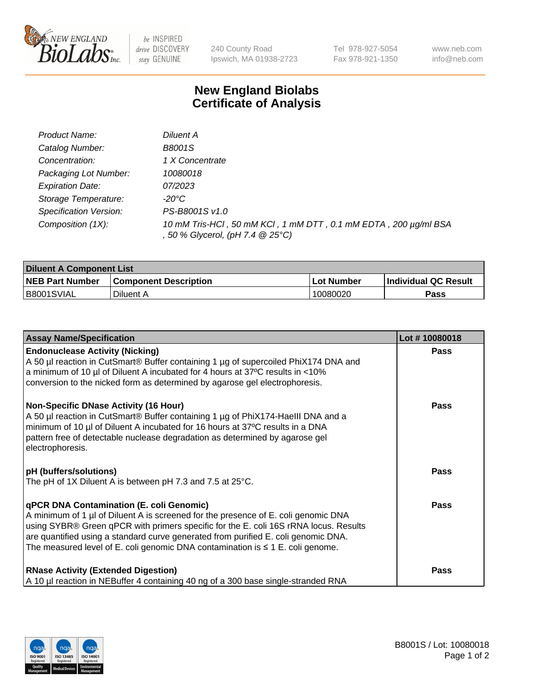

 $be$  INSPIRED drive DISCOVERY stay GENUINE

240 County Road Ipswich, MA 01938-2723 Tel 978-927-5054 Fax 978-921-1350 www.neb.com info@neb.com

## **New England Biolabs Certificate of Analysis**

| Product Name:           | Diluent A                                                                                           |
|-------------------------|-----------------------------------------------------------------------------------------------------|
| Catalog Number:         | <b>B8001S</b>                                                                                       |
| Concentration:          | 1 X Concentrate                                                                                     |
| Packaging Lot Number:   | 10080018                                                                                            |
| <b>Expiration Date:</b> | 07/2023                                                                                             |
| Storage Temperature:    | -20°C                                                                                               |
| Specification Version:  | PS-B8001S v1.0                                                                                      |
| Composition (1X):       | 10 mM Tris-HCl, 50 mM KCl, 1 mM DTT, 0.1 mM EDTA, 200 µg/ml BSA<br>, 50 % Glycerol, (pH 7.4 @ 25°C) |

| <b>Diluent A Component List</b> |                              |                   |                      |  |
|---------------------------------|------------------------------|-------------------|----------------------|--|
| <b>NEB Part Number</b>          | <b>Component Description</b> | <b>Lot Number</b> | Individual QC Result |  |
| B8001SVIAL                      | Diluent A                    | 10080020          | Pass                 |  |

| <b>Assay Name/Specification</b>                                                                                                                                                                                                                                                                                                                                                                            | Lot #10080018 |
|------------------------------------------------------------------------------------------------------------------------------------------------------------------------------------------------------------------------------------------------------------------------------------------------------------------------------------------------------------------------------------------------------------|---------------|
| <b>Endonuclease Activity (Nicking)</b><br>A 50 µl reaction in CutSmart® Buffer containing 1 µg of supercoiled PhiX174 DNA and<br>a minimum of 10 µl of Diluent A incubated for 4 hours at 37°C results in <10%<br>conversion to the nicked form as determined by agarose gel electrophoresis.                                                                                                              | <b>Pass</b>   |
| <b>Non-Specific DNase Activity (16 Hour)</b><br>A 50 µl reaction in CutSmart® Buffer containing 1 µg of PhiX174-Haelll DNA and a<br>minimum of 10 µl of Diluent A incubated for 16 hours at 37°C results in a DNA<br>pattern free of detectable nuclease degradation as determined by agarose gel<br>electrophoresis.                                                                                      | <b>Pass</b>   |
| <b>pH</b> (buffers/solutions)<br>The pH of 1X Diluent A is between pH 7.3 and 7.5 at 25°C.                                                                                                                                                                                                                                                                                                                 | <b>Pass</b>   |
| <b>qPCR DNA Contamination (E. coli Genomic)</b><br>A minimum of 1 µl of Diluent A is screened for the presence of E. coli genomic DNA<br>using SYBR® Green qPCR with primers specific for the E. coli 16S rRNA locus. Results<br>are quantified using a standard curve generated from purified E. coli genomic DNA.<br>The measured level of E. coli genomic DNA contamination is $\leq 1$ E. coli genome. | Pass          |
| <b>RNase Activity (Extended Digestion)</b><br>A 10 µl reaction in NEBuffer 4 containing 40 ng of a 300 base single-stranded RNA                                                                                                                                                                                                                                                                            | Pass          |